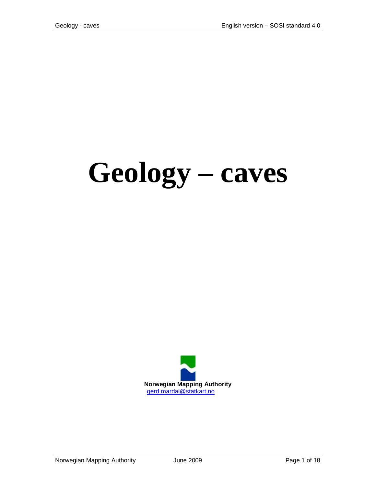# **Geology – caves**

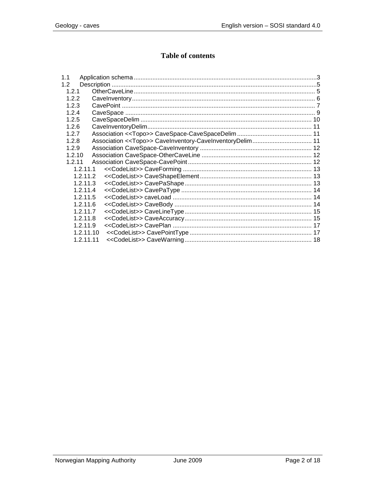## **Table of contents**

| 1.1       |  |
|-----------|--|
| 1.2       |  |
| 1.2.1     |  |
| 1.2.2     |  |
| 1.2.3     |  |
| 1.2.4     |  |
| 1.2.5     |  |
| 1.2.6     |  |
| 1.2.7     |  |
| 1.2.8     |  |
| 1.2.9     |  |
| 1.2.10    |  |
| 1.2.11    |  |
| 1.2.11.1  |  |
| 1.2.11.2  |  |
| 1.2.11.3  |  |
| 1.2.11.4  |  |
| 1.2.11.5  |  |
| 1.2.11.6  |  |
| 1.2.11.7  |  |
| 1.2.11.8  |  |
| 1.2.11.9  |  |
| 1.2.11.10 |  |
| 1.2.11.11 |  |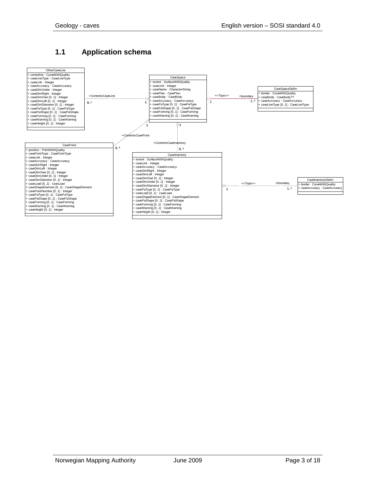#### <span id="page-2-0"></span>**1.1 Application schema**

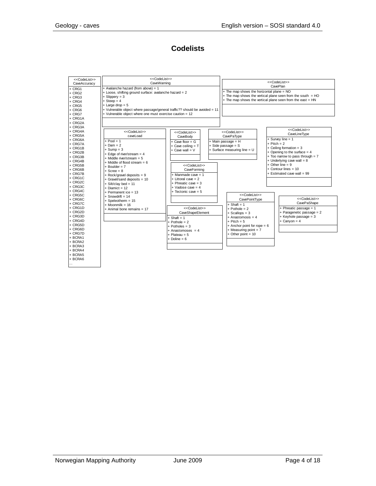#### **Codelists**

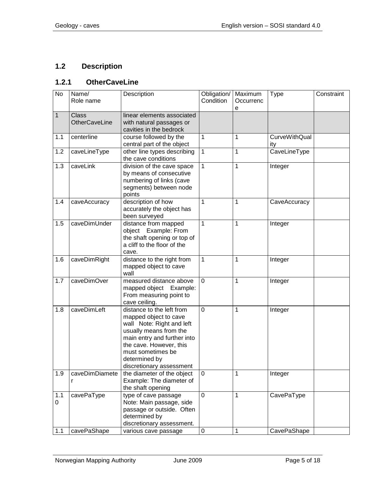# <span id="page-4-0"></span>**1.2 Description**

#### <span id="page-4-1"></span>**1.2.1 OtherCaveLine**

| <b>No</b>    | Name/<br>Role name                   | Description                                                                                                                                                                                                                           | Obligation/<br>Condition | Maximum<br>Occurrenc<br>е | Type                        | Constraint |
|--------------|--------------------------------------|---------------------------------------------------------------------------------------------------------------------------------------------------------------------------------------------------------------------------------------|--------------------------|---------------------------|-----------------------------|------------|
| $\mathbf{1}$ | <b>Class</b><br><b>OtherCaveLine</b> | linear elements associated<br>with natural passages or<br>cavities in the bedrock                                                                                                                                                     |                          |                           |                             |            |
| 1.1          | centerline                           | course followed by the<br>central part of the object                                                                                                                                                                                  | 1                        | 1                         | <b>CurveWithQual</b><br>ity |            |
| 1.2          | caveLineType                         | other line types describing<br>the cave conditions                                                                                                                                                                                    | 1                        | 1                         | CaveLineType                |            |
| 1.3          | caveLink                             | division of the cave space<br>by means of consecutive<br>numbering of links (cave<br>segments) between node<br>points                                                                                                                 | $\mathbf{1}$             | 1                         | Integer                     |            |
| 1.4          | caveAccuracy                         | description of how<br>accurately the object has<br>been surveyed                                                                                                                                                                      | 1                        | 1                         | CaveAccuracy                |            |
| 1.5          | caveDimUnder                         | distance from mapped<br>object Example: From<br>the shaft opening or top of<br>a cliff to the floor of the<br>cave.                                                                                                                   | 1                        | 1                         | Integer                     |            |
| 1.6          | caveDimRight                         | distance to the right from<br>mapped object to cave<br>wall                                                                                                                                                                           | 1                        | 1                         | Integer                     |            |
| 1.7          | caveDimOver                          | measured distance above<br>mapped object Example:<br>From measuring point to<br>cave ceiling.                                                                                                                                         | 0                        | 1                         | Integer                     |            |
| 1.8          | caveDimLeft                          | distance to the left from<br>mapped object to cave<br>wall Note: Right and left<br>usually means from the<br>main entry and further into<br>the cave. However, this<br>must sometimes be<br>determined by<br>discretionary assessment | $\overline{0}$           | 1                         | Integer                     |            |
| 1.9          | caveDimDiamete<br>r                  | the diameter of the object<br>Example: The diameter of<br>the shaft opening                                                                                                                                                           | 0                        | 1                         | Integer                     |            |
| 1.1<br>0     | cavePaType                           | type of cave passage<br>Note: Main passage, side<br>passage or outside. Often<br>determined by<br>discretionary assessment.                                                                                                           | 0                        | 1                         | CavePaType                  |            |
| 1.1          | cavePaShape                          | various cave passage                                                                                                                                                                                                                  | $\pmb{0}$                | 1                         | CavePaShape                 |            |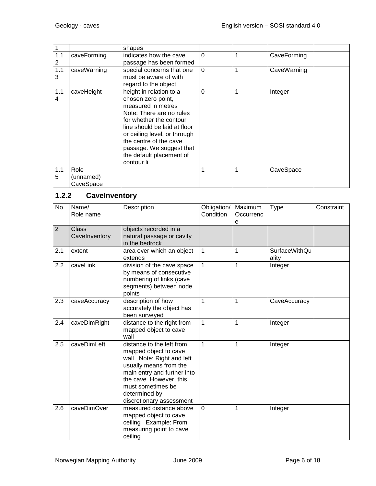|     |             | shapes                       |          |   |             |
|-----|-------------|------------------------------|----------|---|-------------|
| 1.1 | caveForming | indicates how the cave       | $\Omega$ |   | CaveForming |
| 2   |             | passage has been formed      |          |   |             |
| 1.1 | caveWarning | special concerns that one    | $\Omega$ |   | CaveWarning |
| 3   |             | must be aware of with        |          |   |             |
|     |             | regard to the object         |          |   |             |
| 1.1 | caveHeight  | height in relation to a      | 0        | 1 | Integer     |
| 4   |             | chosen zero point,           |          |   |             |
|     |             | measured in metres           |          |   |             |
|     |             | Note: There are no rules     |          |   |             |
|     |             | for whether the contour      |          |   |             |
|     |             | line should be laid at floor |          |   |             |
|     |             | or ceiling level, or through |          |   |             |
|     |             | the centre of the cave       |          |   |             |
|     |             | passage. We suggest that     |          |   |             |
|     |             | the default placement of     |          |   |             |
|     |             | contour li                   |          |   |             |
| 1.1 | Role        |                              |          | 1 | CaveSpace   |
| 5   | (unnamed)   |                              |          |   |             |
|     | CaveSpace   |                              |          |   |             |

### <span id="page-5-0"></span>**1.2.2 CaveInventory**

| <b>No</b>      | Name/<br>Role name            | Description                                                                                                                                                                                                                           | Obligation/<br>Condition | Maximum<br>Occurrenc<br>е | Type                          | Constraint |
|----------------|-------------------------------|---------------------------------------------------------------------------------------------------------------------------------------------------------------------------------------------------------------------------------------|--------------------------|---------------------------|-------------------------------|------------|
| $\overline{2}$ | <b>Class</b><br>Cavelnventory | objects recorded in a<br>natural passage or cavity<br>in the bedrock                                                                                                                                                                  |                          |                           |                               |            |
| 2.1            | extent                        | area over which an object<br>extends                                                                                                                                                                                                  | $\mathbf{1}$             | 1                         | <b>SurfaceWithQu</b><br>ality |            |
| 2.2            | caveLink                      | division of the cave space<br>by means of consecutive<br>numbering of links (cave<br>segments) between node<br>points                                                                                                                 | 1                        | 1                         | Integer                       |            |
| 2.3            | caveAccuracy                  | description of how<br>accurately the object has<br>been surveyed                                                                                                                                                                      | $\mathbf{1}$             | 1                         | CaveAccuracy                  |            |
| 2.4            | caveDimRight                  | distance to the right from<br>mapped object to cave<br>wall                                                                                                                                                                           | $\mathbf{1}$             | 1                         | Integer                       |            |
| 2.5            | caveDimLeft                   | distance to the left from<br>mapped object to cave<br>wall Note: Right and left<br>usually means from the<br>main entry and further into<br>the cave. However, this<br>must sometimes be<br>determined by<br>discretionary assessment | 1                        | 1                         | Integer                       |            |
| 2.6            | caveDimOver                   | measured distance above<br>mapped object to cave<br>ceiling Example: From<br>measuring point to cave<br>ceiling                                                                                                                       | $\mathbf 0$              | 1                         | Integer                       |            |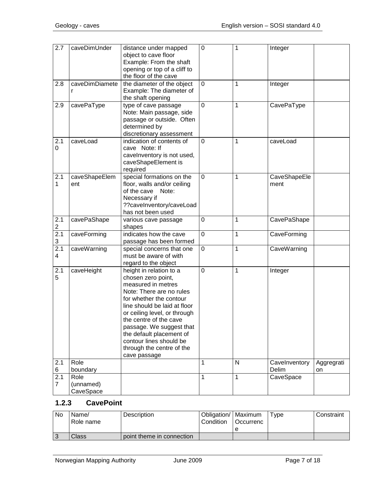| $\overline{2.7}$                 | caveDimUnder                   | distance under mapped<br>object to cave floor<br>Example: From the shaft<br>opening or top of a cliff to<br>the floor of the cave                                                                                                                                                                                                                    | $\mathbf 0$ | 1            | Integer              |            |
|----------------------------------|--------------------------------|------------------------------------------------------------------------------------------------------------------------------------------------------------------------------------------------------------------------------------------------------------------------------------------------------------------------------------------------------|-------------|--------------|----------------------|------------|
| 2.8                              | caveDimDiamete<br>r            | the diameter of the object<br>Example: The diameter of<br>the shaft opening                                                                                                                                                                                                                                                                          | 0           | 1            | Integer              |            |
| 2.9                              | cavePaType                     | type of cave passage<br>Note: Main passage, side<br>passage or outside. Often<br>determined by<br>discretionary assessment                                                                                                                                                                                                                           | 0           | 1            | CavePaType           |            |
| 2.1<br>0                         | caveLoad                       | indication of contents of<br>cave Note: If<br>cavelnventory is not used,<br>caveShapeElement is<br>required                                                                                                                                                                                                                                          | $\mathbf 0$ | 1            | caveLoad             |            |
| 2.1<br>1                         | caveShapeElem<br>ent           | special formations on the<br>floor, walls and/or ceiling<br>of the cave<br>Note:<br>Necessary if<br>??caveInventory/caveLoad<br>has not been used                                                                                                                                                                                                    | 0           | 1            | CaveShapeEle<br>ment |            |
| 2.1<br>$\overline{c}$            | cavePaShape                    | various cave passage<br>shapes                                                                                                                                                                                                                                                                                                                       | $\mathbf 0$ | 1            | CavePaShape          |            |
| 2.1<br>$\ensuremath{\mathsf{3}}$ | caveForming                    | indicates how the cave<br>passage has been formed                                                                                                                                                                                                                                                                                                    | 0           | 1            | CaveForming          |            |
| 2.1<br>4                         | caveWarning                    | special concerns that one<br>must be aware of with<br>regard to the object                                                                                                                                                                                                                                                                           | 0           | 1            | CaveWarning          |            |
| 2.1<br>5                         | caveHeight                     | height in relation to a<br>chosen zero point,<br>measured in metres<br>Note: There are no rules<br>for whether the contour<br>line should be laid at floor<br>or ceiling level, or through<br>the centre of the cave<br>passage. We suggest that<br>the default placement of<br>contour lines should be<br>through the centre of the<br>cave passage | 0           | 1            | Integer              |            |
| 2.1                              | Role                           |                                                                                                                                                                                                                                                                                                                                                      | 1           | $\mathsf{N}$ | Cavelnventory        | Aggregrati |
| 6                                | boundary                       |                                                                                                                                                                                                                                                                                                                                                      |             |              | Delim                | on         |
| 2.1<br>7                         | Role<br>(unnamed)<br>CaveSpace |                                                                                                                                                                                                                                                                                                                                                      | 1           | 1            | CaveSpace            |            |

#### <span id="page-6-0"></span>**1.2.3 CavePoint**

| No | Name/<br>Role name | Description               | Obligation/   Maximum<br>Condition | <b>I</b> Occurrenc | $T$ vpe | Constraint |
|----|--------------------|---------------------------|------------------------------------|--------------------|---------|------------|
|    |                    |                           |                                    |                    |         |            |
|    | Class              | point theme in connection |                                    |                    |         |            |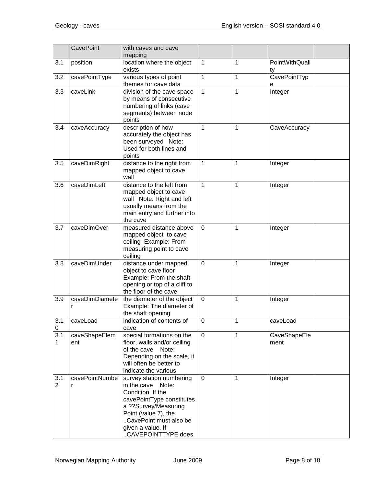|                       | <b>CavePoint</b>     | with caves and cave<br>mapping                                                                                                                                                                                           |             |   |                      |  |
|-----------------------|----------------------|--------------------------------------------------------------------------------------------------------------------------------------------------------------------------------------------------------------------------|-------------|---|----------------------|--|
| 3.1                   | position             | location where the object<br>exists                                                                                                                                                                                      | 1           | 1 | PointWithQuali<br>ty |  |
| 3.2                   | cavePointType        | various types of point<br>themes for cave data                                                                                                                                                                           | 1           | 1 | CavePointTyp<br>е    |  |
| 3.3                   | caveLink             | division of the cave space<br>by means of consecutive<br>numbering of links (cave<br>segments) between node<br>points                                                                                                    | 1           | 1 | Integer              |  |
| 3.4                   | caveAccuracy         | description of how<br>accurately the object has<br>been surveyed Note:<br>Used for both lines and<br>points                                                                                                              | 1           | 1 | CaveAccuracy         |  |
| 3.5                   | caveDimRight         | distance to the right from<br>mapped object to cave<br>wall                                                                                                                                                              | 1           | 1 | Integer              |  |
| 3.6                   | caveDimLeft          | distance to the left from<br>mapped object to cave<br>wall Note: Right and left<br>usually means from the<br>main entry and further into<br>the cave                                                                     | 1           | 1 | Integer              |  |
| 3.7                   | caveDimOver          | measured distance above<br>mapped object to cave<br>ceiling Example: From<br>measuring point to cave<br>ceiling                                                                                                          | 0           | 1 | Integer              |  |
| 3.8                   | caveDimUnder         | distance under mapped<br>object to cave floor<br>Example: From the shaft<br>opening or top of a cliff to<br>the floor of the cave                                                                                        | $\mathbf 0$ | 1 | Integer              |  |
| 3.9                   | caveDimDiamete<br>r  | the diameter of the object<br>Example: The diameter of<br>the shaft opening                                                                                                                                              | $\mathbf 0$ | 1 | Integer              |  |
| 3.1<br>0              | caveLoad             | indication of contents of<br>cave                                                                                                                                                                                        | $\mathbf 0$ | 1 | caveLoad             |  |
| 3.1<br>1              | caveShapeElem<br>ent | special formations on the<br>floor, walls and/or ceiling<br>of the cave<br>Note:<br>Depending on the scale, it<br>will often be better to<br>indicate the various                                                        | $\mathbf 0$ | 1 | CaveShapeEle<br>ment |  |
| 3.1<br>$\overline{2}$ | cavePointNumbe<br>r  | survey station numbering<br>in the cave<br>Note:<br>Condition. If the<br>cavePointType constitutes<br>a ??Survey/Measuring<br>Point (value 7), the<br>CavePoint must also be<br>given a value. If<br>.CAVEPOINTTYPE does | $\Omega$    | 1 | Integer              |  |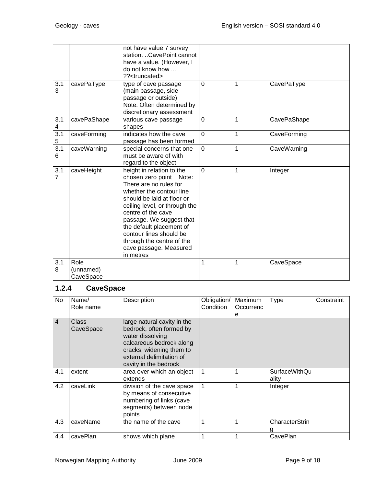| 3.1<br>3              | cavePaType                     | not have value 7 survey<br>station. CavePoint cannot<br>have a value. (However, I<br>do not know how<br>?? <truncated><br/>type of cave passage<br/>(main passage, side<br/>passage or outside)<br/>Note: Often determined by<br/>discretionary assessment</truncated>                                                                                    | $\mathbf 0$ | 1 | CavePaType  |  |
|-----------------------|--------------------------------|-----------------------------------------------------------------------------------------------------------------------------------------------------------------------------------------------------------------------------------------------------------------------------------------------------------------------------------------------------------|-------------|---|-------------|--|
| 3.1<br>4              | cavePaShape                    | various cave passage<br>shapes                                                                                                                                                                                                                                                                                                                            | 0           | 1 | CavePaShape |  |
| 3.1<br>5              | caveForming                    | indicates how the cave<br>passage has been formed                                                                                                                                                                                                                                                                                                         | 0           | 1 | CaveForming |  |
| 3.1<br>6              | caveWarning                    | special concerns that one<br>must be aware of with<br>regard to the object                                                                                                                                                                                                                                                                                | 0           | 1 | CaveWarning |  |
| 3.1<br>$\overline{7}$ | caveHeight                     | height in relation to the<br>chosen zero point<br>Note:<br>There are no rules for<br>whether the contour line<br>should be laid at floor or<br>ceiling level, or through the<br>centre of the cave<br>passage. We suggest that<br>the default placement of<br>contour lines should be<br>through the centre of the<br>cave passage. Measured<br>in metres | 0           | 1 | Integer     |  |
| 3.1<br>8              | Role<br>(unnamed)<br>CaveSpace |                                                                                                                                                                                                                                                                                                                                                           | 1           | 1 | CaveSpace   |  |

# <span id="page-8-0"></span>**1.2.4 CaveSpace**

| No             | Name/<br>Role name        | Description                                                                                                                                                                              | Obligation/<br>Condition | Maximum<br>Occurrenc<br>е | Type                          | Constraint |
|----------------|---------------------------|------------------------------------------------------------------------------------------------------------------------------------------------------------------------------------------|--------------------------|---------------------------|-------------------------------|------------|
| $\overline{4}$ | <b>Class</b><br>CaveSpace | large natural cavity in the<br>bedrock, often formed by<br>water dissolving<br>calcareous bedrock along<br>cracks, widening them to<br>external delimitation of<br>cavity in the bedrock |                          |                           |                               |            |
| 4.1            | extent                    | area over which an object<br>extends                                                                                                                                                     |                          |                           | <b>SurfaceWithQu</b><br>ality |            |
| 4.2            | caveLink                  | division of the cave space<br>by means of consecutive<br>numbering of links (cave<br>segments) between node<br>points                                                                    |                          |                           | Integer                       |            |
| 4.3            | caveName                  | the name of the cave                                                                                                                                                                     |                          |                           | CharacterStrin                |            |
| 4.4            | cavePlan                  | shows which plane                                                                                                                                                                        |                          |                           | CavePlan                      |            |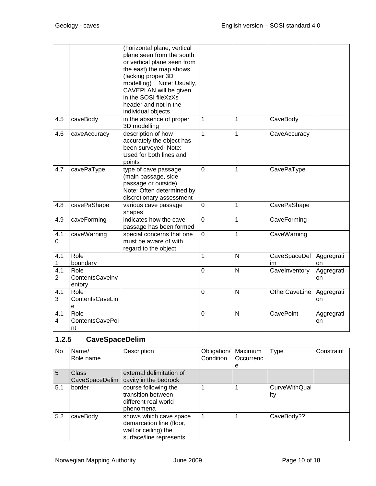|                                 |                                   | (horizontal plane, vertical<br>plane seen from the south<br>or vertical plane seen from<br>the east) the map shows<br>(lacking proper 3D<br>modelling) Note: Usually,<br>CAVEPLAN will be given<br>in the SOSI fileXzXs<br>header and not in the<br>individual objects |                |                |                      |                  |
|---------------------------------|-----------------------------------|------------------------------------------------------------------------------------------------------------------------------------------------------------------------------------------------------------------------------------------------------------------------|----------------|----------------|----------------------|------------------|
| 4.5                             | caveBody                          | in the absence of proper<br>3D modelling                                                                                                                                                                                                                               | $\mathbf{1}$   | 1              | CaveBody             |                  |
| 4.6                             | caveAccuracy                      | description of how<br>accurately the object has<br>been surveyed Note:<br>Used for both lines and<br>points                                                                                                                                                            | $\mathbf{1}$   | $\mathbf{1}$   | CaveAccuracy         |                  |
| 4.7                             | cavePaType                        | type of cave passage<br>(main passage, side<br>passage or outside)<br>Note: Often determined by<br>discretionary assessment                                                                                                                                            | $\overline{0}$ | 1              | CavePaType           |                  |
| 4.8                             | cavePaShape                       | various cave passage<br>shapes                                                                                                                                                                                                                                         | $\mathbf 0$    | $\mathbf{1}$   | CavePaShape          |                  |
| 4.9                             | caveForming                       | indicates how the cave<br>passage has been formed                                                                                                                                                                                                                      | $\overline{0}$ | $\mathbf{1}$   | CaveForming          |                  |
| $4.\overline{1}$<br>$\mathbf 0$ | caveWarning                       | special concerns that one<br>must be aware of with<br>regard to the object                                                                                                                                                                                             | $\overline{0}$ | 1              | CaveWarning          |                  |
| 4.1<br>$\mathbf{1}$             | Role<br>boundary                  |                                                                                                                                                                                                                                                                        | 1              | N              | CaveSpaceDel<br>im   | Aggregrati<br>on |
| 4.1<br>$\overline{2}$           | Role<br>ContentsCavelnv<br>entory |                                                                                                                                                                                                                                                                        | $\overline{0}$ | $\overline{N}$ | Cavelnventory        | Aggregrati<br>on |
| 4.1<br>3                        | Role<br>ContentsCaveLin<br>e      |                                                                                                                                                                                                                                                                        | $\overline{0}$ | N              | <b>OtherCaveLine</b> | Aggregrati<br>on |
| 4.1<br>4                        | Role<br>ContentsCavePoi<br>nt     |                                                                                                                                                                                                                                                                        | $\Omega$       | N              | <b>CavePoint</b>     | Aggregrati<br>on |

# <span id="page-9-0"></span>**1.2.5 CaveSpaceDelim**

| No  | Name/<br>Role name             | Description                                                                                           | Obligation/<br>Condition | Maximum<br>Occurrenc<br>e | <b>Type</b>                 | Constraint |
|-----|--------------------------------|-------------------------------------------------------------------------------------------------------|--------------------------|---------------------------|-----------------------------|------------|
| 5   | <b>Class</b><br>CaveSpaceDelim | external delimitation of<br>cavity in the bedrock                                                     |                          |                           |                             |            |
| 5.1 | border                         | course following the<br>transition between<br>different real world<br>phenomena                       |                          |                           | <b>CurveWithQual</b><br>ity |            |
| 5.2 | caveBody                       | shows which cave space<br>demarcation line (floor,<br>wall or ceiling) the<br>surface/line represents |                          |                           | CaveBody??                  |            |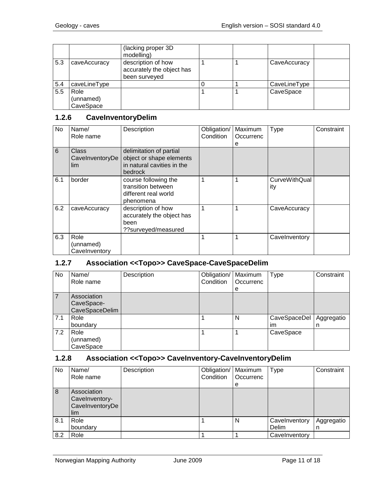|     |                                | (lacking proper 3D)<br>modelling)                                |  |              |  |
|-----|--------------------------------|------------------------------------------------------------------|--|--------------|--|
| 5.3 | caveAccuracy                   | description of how<br>accurately the object has<br>been surveyed |  | CaveAccuracy |  |
| 5.4 | caveLineType                   |                                                                  |  | CaveLineType |  |
| 5.5 | Role<br>(unnamed)<br>CaveSpace |                                                                  |  | CaveSpace    |  |

#### <span id="page-10-0"></span>**1.2.6 CaveInventoryDelim**

| No  | Name/<br>Role name                 | Description                                                                                         | Obligation/<br>Condition | Maximum<br>Occurrenc<br>е | Type                        | Constraint |
|-----|------------------------------------|-----------------------------------------------------------------------------------------------------|--------------------------|---------------------------|-----------------------------|------------|
| 6   | Class<br>CaveInventoryDe<br>lim    | delimitation of partial<br>object or shape elements<br>in natural cavities in the<br><b>bedrock</b> |                          |                           |                             |            |
| 6.1 | border                             | course following the<br>transition between<br>different real world<br>phenomena                     | 1                        | 1                         | <b>CurveWithQual</b><br>ity |            |
| 6.2 | caveAccuracy                       | description of how<br>accurately the object has<br>been<br>??surveyed/measured                      | 1                        | 1                         | CaveAccuracy                |            |
| 6.3 | Role<br>(unnamed)<br>Cavelnventory |                                                                                                     | 1                        | 1                         | Cavelnventory               |            |

#### <span id="page-10-1"></span>**1.2.7 Association <<Topo>> CaveSpace-CaveSpaceDelim**

| No  | Name/<br>Role name                          | Description | Obligation/   Maximum<br>Condition | Occurrenc<br>e | <b>Type</b>        | Constraint      |
|-----|---------------------------------------------|-------------|------------------------------------|----------------|--------------------|-----------------|
|     | Association<br>CaveSpace-<br>CaveSpaceDelim |             |                                    |                |                    |                 |
| 7.1 | Role<br>boundary                            |             |                                    | N              | CaveSpaceDel<br>im | Aggregatio<br>n |
| 7.2 | Role<br>(unnamed)<br>CaveSpace              |             |                                    |                | CaveSpace          |                 |

# <span id="page-10-2"></span>**1.2.8 Association <<Topo>> CaveInventory-CaveInventoryDelim**

| No  | Name/<br>Role name                                      | Description | Obligation/   Maximum<br>Condition | Occurrenc<br>е | <b>Type</b>            | Constraint      |
|-----|---------------------------------------------------------|-------------|------------------------------------|----------------|------------------------|-----------------|
| 8   | Association<br>Cavelnventory-<br>CavelnventoryDe<br>lim |             |                                    |                |                        |                 |
| 8.1 | Role<br>boundary                                        |             |                                    | N              | Cavelnventory<br>Delim | Aggregatio<br>n |
| 8.2 | Role                                                    |             |                                    |                | Cavelnventory          |                 |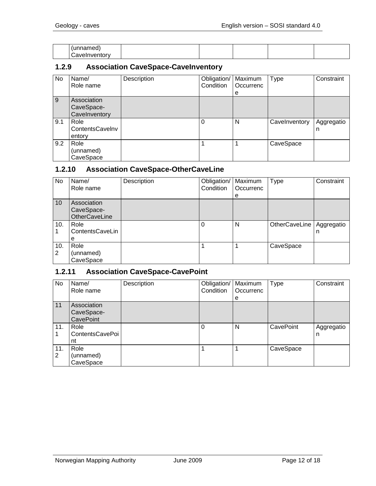| named<br>.          |  |  |  |
|---------------------|--|--|--|
| ∽<br>:≀aveInventorv |  |  |  |

#### <span id="page-11-0"></span>**1.2.9 Association CaveSpace-CaveInventory**

| No  | Name/<br>Role name                         | Description | Obligation/<br>Condition | Maximum<br>Occurrenc<br>е | <b>Type</b>   | Constraint      |
|-----|--------------------------------------------|-------------|--------------------------|---------------------------|---------------|-----------------|
| 9   | Association<br>CaveSpace-<br>Cavelnventory |             |                          |                           |               |                 |
| 9.1 | Role<br>ContentsCavelnv<br>entory          |             | 0                        | N                         | Cavelnventory | Aggregatio<br>n |
| 9.2 | Role<br>(unnamed)<br>CaveSpace             |             |                          |                           | CaveSpace     |                 |

#### <span id="page-11-1"></span>**1.2.10 Association CaveSpace-OtherCaveLine**

| No  | Name/                | Description | Obligation/ | Maximum   | <b>Type</b>   | Constraint |
|-----|----------------------|-------------|-------------|-----------|---------------|------------|
|     | Role name            |             | Condition   | Occurrenc |               |            |
|     |                      |             |             | e         |               |            |
| 10  | Association          |             |             |           |               |            |
|     | CaveSpace-           |             |             |           |               |            |
|     | <b>OtherCaveLine</b> |             |             |           |               |            |
| 10. | Role                 |             | 0           | N         | OtherCaveLine | Aggregatio |
|     | ContentsCaveLin      |             |             |           |               | n          |
|     | е                    |             |             |           |               |            |
| 10. | Role                 |             |             |           | CaveSpace     |            |
| 2   | (unnamed)            |             |             |           |               |            |
|     | CaveSpace            |             |             |           |               |            |

#### <span id="page-11-2"></span>**1.2.11 Association CaveSpace-CavePoint**

| No       | Name/<br>Role name                     | Description | Obligation/<br>Condition | Maximum<br>Occurrenc<br>е | Type      | Constraint      |
|----------|----------------------------------------|-------------|--------------------------|---------------------------|-----------|-----------------|
| 11       | Association<br>CaveSpace-<br>CavePoint |             |                          |                           |           |                 |
| 11.      | Role<br>ContentsCavePoi<br>nt          |             | 0                        | N                         | CavePoint | Aggregatio<br>n |
| 11.<br>2 | Role<br>(unnamed)<br>CaveSpace         |             |                          |                           | CaveSpace |                 |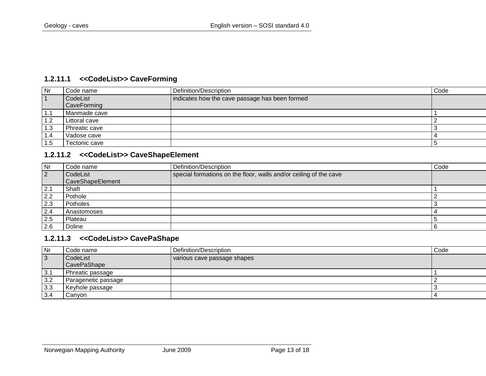#### **1.2.11.1 <<CodeList>> CaveForming**

| Nr        | Code name          | Definition/Description                         | Code |
|-----------|--------------------|------------------------------------------------|------|
| $\vert$ 1 | CodeList           | indicates how the cave passage has been formed |      |
|           | <b>CaveForming</b> |                                                |      |
| 1.1       | Manmade cave       |                                                |      |
| 1.2       | Littoral cave      |                                                |      |
| 1.3       | Phreatic cave      |                                                |      |
| 1.4       | Vadose cave        |                                                |      |
| . 5       | Tectonic cave      |                                                |      |

#### **1.2.11.2 <<CodeList>> CaveShapeElement**

<span id="page-12-0"></span>

| Nr        | <b>Code name</b> | Definition/Description                                            | Code |
|-----------|------------------|-------------------------------------------------------------------|------|
| $\vert$ 2 | CodeList         | special formations on the floor, walls and/or ceiling of the cave |      |
|           | CaveShapeElement |                                                                   |      |
| 2.1       | Shaft            |                                                                   |      |
| 2.2       | Pothole          |                                                                   |      |
| 2.3       | Potholes         |                                                                   |      |
| 2.4       | Anastomoses      |                                                                   |      |
| 2.5       | Plateau          |                                                                   |      |
| 2.6       | Doline           |                                                                   |      |

#### **1.2.11.3 <<CodeList>> CavePaShape**

<span id="page-12-2"></span><span id="page-12-1"></span>

| Nr        | Code name           | Definition/Description      | Code |
|-----------|---------------------|-----------------------------|------|
| $\vert$ 3 | CodeList            | various cave passage shapes |      |
|           | <b>CavePaShape</b>  |                             |      |
| 3.1       | Phreatic passage    |                             |      |
| 3.2       | Paragenetic passage |                             |      |
| 3.3       | Keyhole passage     |                             |      |
| 3.4       | Canyon              |                             |      |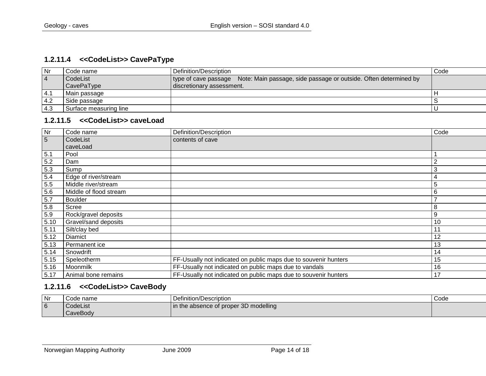#### **1.2.11.4 <<CodeList>> CavePaType**

| Nr        | Code name              | l Definition/Description_                                                             | Code |
|-----------|------------------------|---------------------------------------------------------------------------------------|------|
| $\vert 4$ | CodeList               | type of cave passage Note: Main passage, side passage or outside. Often determined by |      |
|           | <b>CavePaType</b>      | discretionary assessment.                                                             |      |
| l 4.1     | Main passage           |                                                                                       |      |
| l 4.2     | Side passage           |                                                                                       |      |
| 14.3      | Surface measuring line |                                                                                       |      |

#### **1.2.11.5 <<CodeList>> caveLoad**

<span id="page-13-0"></span>

| $\overline{\mathsf{N}}$ r | Code name              | Definition/Description                                          | Code |
|---------------------------|------------------------|-----------------------------------------------------------------|------|
| $5\overline{)}$           | CodeList<br>caveLoad   | contents of cave                                                |      |
| 5.1                       | Pool                   |                                                                 |      |
| 5.2                       | Dam                    |                                                                 | 2    |
| 5.3                       | Sump                   |                                                                 | 3    |
| $\frac{5.4}{5.5}$         | Edge of river/stream   |                                                                 | 4    |
|                           | Middle river/stream    |                                                                 | 5    |
| 5.6                       | Middle of flood stream |                                                                 | 6    |
| 5.7                       | <b>Boulder</b>         |                                                                 |      |
| 5.8                       | Scree                  |                                                                 | 8    |
| 5.9                       | Rock/gravel deposits   |                                                                 | 9    |
| 5.10                      | Gravel/sand deposits   |                                                                 | 10   |
| 5.11                      | Silt/clay bed          |                                                                 | 11   |
| 5.12                      | Diamict                |                                                                 | 12   |
| 5.13                      | Permanent ice          |                                                                 | 13   |
| 5.14                      | Snowdrift              |                                                                 | 14   |
| 5.15                      | Speleotherm            | FF-Usually not indicated on public maps due to souvenir hunters | 15   |
| 5.16                      | Moonmilk               | FF-Usually not indicated on public maps due to vandals          | 16   |
| 5.17                      | Animal bone remains    | FF-Usually not indicated on public maps due to souvenir hunters | 17   |

#### <span id="page-13-1"></span>**1.2.11.6 <<CodeList>> CaveBody**

<span id="page-13-2"></span>

| Nr             | Code name | Definition/Description                | Code |
|----------------|-----------|---------------------------------------|------|
| $\overline{6}$ | CodeList  | In the absence of proper 3D modelling |      |
|                | CaveBody  |                                       |      |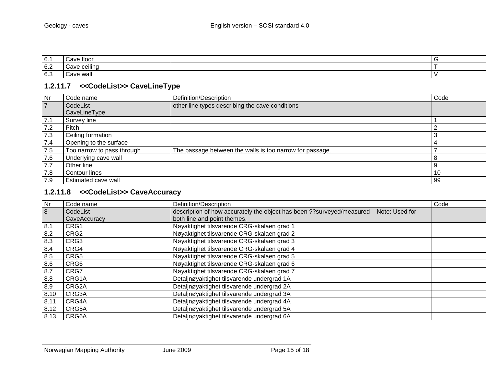| 6.1 | tloor<br>21/4   |  |
|-----|-----------------|--|
| 6.2 | ceilind<br>Cave |  |
| 6.3 | Cave wal'       |  |

#### **1.2.11.7 <<CodeList>> CaveLineType**

| Nr  | Code name                  | Definition/Description                                   | Code |
|-----|----------------------------|----------------------------------------------------------|------|
|     | CodeList                   | other line types describing the cave conditions          |      |
|     | CaveLineType               |                                                          |      |
| 7.1 | Survey line                |                                                          |      |
| 7.2 | Pitch                      |                                                          |      |
| 7.3 | Ceiling formation          |                                                          |      |
| 7.4 | Opening to the surface     |                                                          |      |
| 7.5 | Too narrow to pass through | The passage between the walls is too narrow for passage. |      |
| 7.6 | Underlying cave wall       |                                                          |      |
| 7.7 | Other line                 |                                                          |      |
| 7.8 | Contour lines              |                                                          | 10   |
| 7.9 | Estimated cave wall        |                                                          | 99   |

#### <span id="page-14-0"></span>**1.2.11.8 <<CodeList>> CaveAccuracy**

<span id="page-14-1"></span>

| Nr   | Code name        | Definition/Description                                                                   | Code |
|------|------------------|------------------------------------------------------------------------------------------|------|
| 8    | CodeList         | description of how accurately the object has been ?? surveyed/measured<br>Note: Used for |      |
|      | CaveAccuracy     | both line and point themes.                                                              |      |
| 8.1  | CRG1             | Nøyaktighet tilsvarende CRG-skalaen grad 1                                               |      |
| 8.2  | CRG <sub>2</sub> | Nøyaktighet tilsvarende CRG-skalaen grad 2                                               |      |
| 8.3  | CRG3             | Nøyaktighet tilsvarende CRG-skalaen grad 3                                               |      |
| 8.4  | CRG4             | Nøyaktighet tilsvarende CRG-skalaen grad 4                                               |      |
| 8.5  | CRG5             | Nøyaktighet tilsvarende CRG-skalaen grad 5                                               |      |
| 8.6  | CRG6             | Nøyaktighet tilsvarende CRG-skalaen grad 6                                               |      |
| 8.7  | CRG7             | Nøyaktighet tilsvarende CRG-skalaen grad 7                                               |      |
| 8.8  | CRG1A            | Detaljnøyaktighet tilsvarende undergrad 1A                                               |      |
| 8.9  | CRG2A            | Detaljnøyaktighet tilsvarende undergrad 2A                                               |      |
| 8.10 | CRG3A            | Detaljnøyaktighet tilsvarende undergrad 3A                                               |      |
| 8.11 | CRG4A            | Detaljnøyaktighet tilsvarende undergrad 4A                                               |      |
| 8.12 | CRG5A            | Detaljnøyaktighet tilsvarende undergrad 5A                                               |      |
| 8.13 | CRG6A            | Detaljnøyaktighet tilsvarende undergrad 6A                                               |      |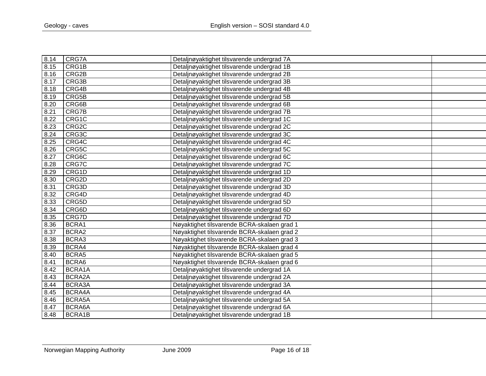| 8.14 | CRG7A  | Detaljnøyaktighet tilsvarende undergrad 7A  |  |
|------|--------|---------------------------------------------|--|
| 8.15 | CRG1B  | Detaljnøyaktighet tilsvarende undergrad 1B  |  |
| 8.16 | CRG2B  | Detaljnøyaktighet tilsvarende undergrad 2B  |  |
| 8.17 | CRG3B  | Detaljnøyaktighet tilsvarende undergrad 3B  |  |
| 8.18 | CRG4B  | Detaljnøyaktighet tilsvarende undergrad 4B  |  |
| 8.19 | CRG5B  | Detaljnøyaktighet tilsvarende undergrad 5B  |  |
| 8.20 | CRG6B  | Detaljnøyaktighet tilsvarende undergrad 6B  |  |
| 8.21 | CRG7B  | Detaljnøyaktighet tilsvarende undergrad 7B  |  |
| 8.22 | CRG1C  | Detaljnøyaktighet tilsvarende undergrad 1C  |  |
| 8.23 | CRG2C  | Detaljnøyaktighet tilsvarende undergrad 2C  |  |
| 8.24 | CRG3C  | Detaljnøyaktighet tilsvarende undergrad 3C  |  |
| 8.25 | CRG4C  | Detaljnøyaktighet tilsvarende undergrad 4C  |  |
| 8.26 | CRG5C  | Detaljnøyaktighet tilsvarende undergrad 5C  |  |
| 8.27 | CRG6C  | Detaljnøyaktighet tilsvarende undergrad 6C  |  |
| 8.28 | CRG7C  | Detaljnøyaktighet tilsvarende undergrad 7C  |  |
| 8.29 | CRG1D  | Detaljnøyaktighet tilsvarende undergrad 1D  |  |
| 8.30 | CRG2D  | Detaljnøyaktighet tilsvarende undergrad 2D  |  |
| 8.31 | CRG3D  | Detaljnøyaktighet tilsvarende undergrad 3D  |  |
| 8.32 | CRG4D  | Detaljnøyaktighet tilsvarende undergrad 4D  |  |
| 8.33 | CRG5D  | Detaljnøyaktighet tilsvarende undergrad 5D  |  |
| 8.34 | CRG6D  | Detaljnøyaktighet tilsvarende undergrad 6D  |  |
| 8.35 | CRG7D  | Detaljnøyaktighet tilsvarende undergrad 7D  |  |
| 8.36 | BCRA1  | Nøyaktighet tilsvarende BCRA-skalaen grad 1 |  |
| 8.37 | BCRA2  | Nøyaktighet tilsvarende BCRA-skalaen grad 2 |  |
| 8.38 | BCRA3  | Nøyaktighet tilsvarende BCRA-skalaen grad 3 |  |
| 8.39 | BCRA4  | Nøyaktighet tilsvarende BCRA-skalaen grad 4 |  |
| 8.40 | BCRA5  | Nøyaktighet tilsvarende BCRA-skalaen grad 5 |  |
| 8.41 | BCRA6  | Nøyaktighet tilsvarende BCRA-skalaen grad 6 |  |
| 8.42 | BCRA1A | Detaljnøyaktighet tilsvarende undergrad 1A  |  |
| 8.43 | BCRA2A | Detaljnøyaktighet tilsvarende undergrad 2A  |  |
| 8.44 | BCRA3A | Detaljnøyaktighet tilsvarende undergrad 3A  |  |
| 8.45 | BCRA4A | Detaljnøyaktighet tilsvarende undergrad 4A  |  |
| 8.46 | BCRA5A | Detaljnøyaktighet tilsvarende undergrad 5A  |  |
| 8.47 | BCRA6A | Detaljnøyaktighet tilsvarende undergrad 6A  |  |
| 8.48 | BCRA1B | Detaljnøyaktighet tilsvarende undergrad 1B  |  |
|      |        |                                             |  |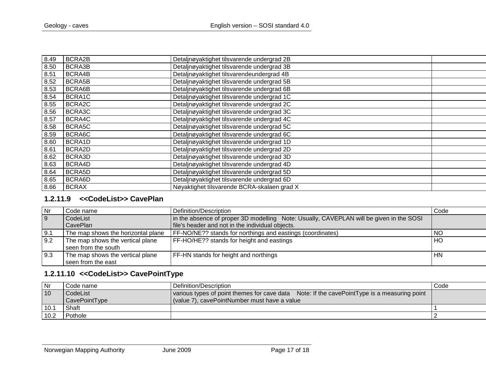| 8.49 | BCRA2B        | Detaljnøyaktighet tilsvarende undergrad 2B  |
|------|---------------|---------------------------------------------|
| 8.50 | BCRA3B        | Detaljnøyaktighet tilsvarende undergrad 3B  |
| 8.51 | BCRA4B        | Detaljnøyaktighet tilsvarendeundergrad 4B   |
| 8.52 | <b>BCRA5B</b> | Detaljnøyaktighet tilsvarende undergrad 5B  |
| 8.53 | BCRA6B        | Detaljnøyaktighet tilsvarende undergrad 6B  |
| 8.54 | BCRA1C        | Detaljnøyaktighet tilsvarende undergrad 1C  |
| 8.55 | BCRA2C        | Detaljnøyaktighet tilsvarende undergrad 2C  |
| 8.56 | BCRA3C        | Detaljnøyaktighet tilsvarende undergrad 3C  |
| 8.57 | BCRA4C        | Detaljnøyaktighet tilsvarende undergrad 4C  |
| 8.58 | BCRA5C        | Detaljnøyaktighet tilsvarende undergrad 5C  |
| 8.59 | BCRA6C        | Detaljnøyaktighet tilsvarende undergrad 6C  |
| 8.60 | BCRA1D        | Detaljnøyaktighet tilsvarende undergrad 1D  |
| 8.61 | BCRA2D        | Detaljnøyaktighet tilsvarende undergrad 2D  |
| 8.62 | BCRA3D        | Detaljnøyaktighet tilsvarende undergrad 3D  |
| 8.63 | BCRA4D        | Detaljnøyaktighet tilsvarende undergrad 4D  |
| 8.64 | BCRA5D        | Detaljnøyaktighet tilsvarende undergrad 5D  |
| 8.65 | BCRA6D        | Detaljnøyaktighet tilsvarende undergrad 6D  |
| 8.66 | <b>BCRAX</b>  | Nøyaktighet tilsvarende BCRA-skalaen grad X |
|      |               |                                             |

#### **1.2.11.9 <<CodeList>> CavePlan**

| Nr             | Code name                                               | Definition/Description                                                                  | Code      |
|----------------|---------------------------------------------------------|-----------------------------------------------------------------------------------------|-----------|
| $\overline{9}$ | CodeList                                                | in the absence of proper 3D modelling Note: Usually, CAVEPLAN will be given in the SOSI |           |
|                | CavePlan                                                | file's header and not in the individual objects.                                        |           |
| 9.1            | The map shows the horizontal plane                      | FF-NO/NE?? stands for northings and eastings (coordinates)                              | <b>NO</b> |
| 9.2            | The map shows the vertical plane<br>seen from the south | FF-HO/HE?? stands for height and eastings                                               | HO        |
| 9.3            | The map shows the vertical plane<br>seen from the east  | FF-HN stands for height and northings                                                   | <b>HN</b> |

# **1.2.11.10 <<CodeList>> CavePointType**

<span id="page-16-1"></span><span id="page-16-0"></span>

| Nr   | Code name :          | Definition/Description                                                                      | Code |
|------|----------------------|---------------------------------------------------------------------------------------------|------|
| 10   | CodeList             | various types of point themes for cave data Note: If the cavePointType is a measuring point |      |
|      | <b>CavePointType</b> | (value 7), cavePointNumber must have a value                                                |      |
| 10.1 | Shaft                |                                                                                             |      |
| 10.2 | Pothole              |                                                                                             |      |